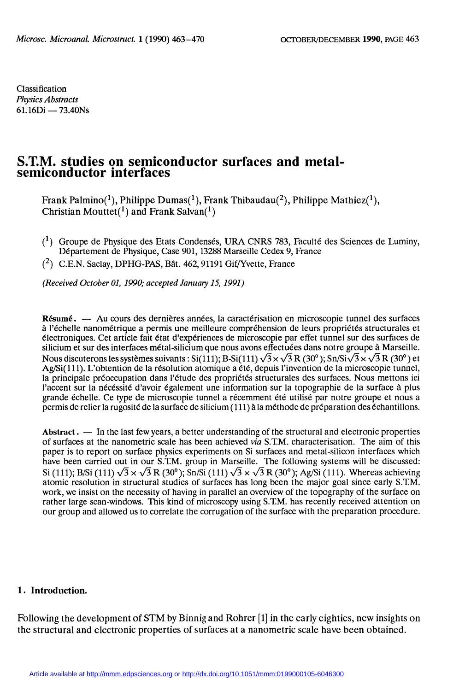Classification Physics Abstracts  $61.16Di - 73.40Ns$ 

# S.T.M. studies on semiconductor surfaces and metalsemiconductor interfaces

Frank Palmino(1), Philippe Dumas(1), Frank Thibaudau(2), Philippe Mathiez(1), Christian Mouttet( $1$ ) and Frank Salvan( $1$ )

- $(1)$  Groupe de Physique des Etats Condensés, URA CNRS 783, Faculté des Sciences de Luminy, Département de Physique, Case 901, 13288 Marseille Cedex 9, France
- $(2)$  C.E.N. Saclay, DPHG-PAS, Bât. 462, 91191 Gif/Yvette, France

(Received October 01, 1990; accepted January 15, 1991)

Résumé. - Au cours des dernières années, la caractérisation en microscopie tunnel des surfaces à l'échelle nanométrique a permis une meilleure compréhension de leurs propriétés structurales et électroniques. Cet article fait état d'expériences de microscopie par effet tunnel sur des surfaces de silicium et sur des interfaces métal-silicium que nous avons effectuées dans notre groupe à Marseille. Nous discuterons les systèmes suivants: Si(111); B-Si(111)  $\sqrt{3} \times \sqrt{3} R$  (30°); Sn/Si $\sqrt{3} \times \sqrt{3} R$  (30°) et Ag/Si(111). L'obtention de la résolution atomique a été, depuis l'invention de la microscopie tunnel, la principale préoccupation dans l'étude des propriétés structurales des surfaces. Nous mettons ici l'accent sur la nécéssité d'avoir également une information sur la topographie de la surface à plus grande échelle. Ce type de microscopie tunnel a récemment été utilisé par notre groupe et nous a permis de relier la rugosité de la surface de silicium (111) à la méthode de préparation des échantillons.

Abstract.  $\overline{a}$  In the last few years, a better understanding of the structural and electronic properties of surfaces at the nanometric scale has been achieved via S.T.M. characterisation. The aim of this paper is to report on surface physics experiments on Si surfaces and metal-silicon interfaces which have been carried out in our S.T.M. group in Marseille. The following systems will be discussed: Si (111); B/Si (111)  $\sqrt{3} \times \sqrt{3}$  R (30°); Sn/Si (111)  $\sqrt{3} \times \sqrt{3}$  R (30°); Ag/Si (111). Whereas achieving atomic resolution in structural studies of surfaces has long been the major goal since early S.T.M. work, we insist on the necessity of having in parallel an overview of the topography of the surface on rather large scan-windows. This kind of microscopy using S.T.M. has recently received attention on our group and allowed us to correlate the corrugation of the surface with the preparation procedure.

#### 1. Introduction.

Following the development of STM by Binnig and Rohrer [1] in the early eighties, new insights on the structural and electronic properties of surfaces at a nanometric scale have been obtained.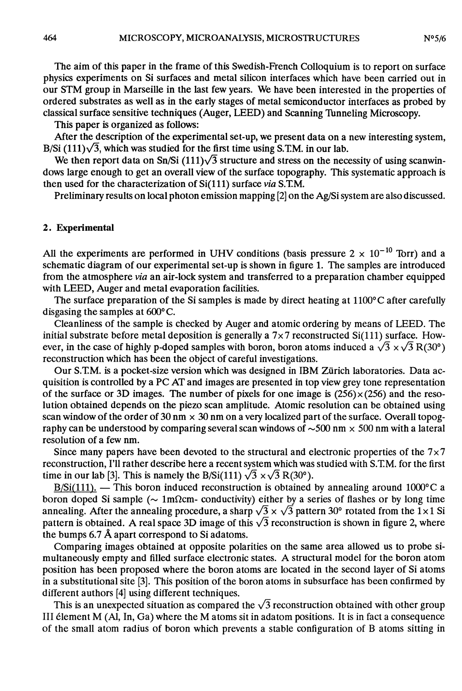The aim of this paper in the frame of this Swedish-French Colloquium is to report on surface physics experiments on Si surfaces and metal silicon interfaces which have been carried out in our STM group in Marseille in the last few years. We have been interested in the properties of ordered substrates as well as in the early stages of metal semiconductor interfaces as probed by classical surface sensitive techniques (Auger, LEED) and Scanning Thnneling Microscopy.

This paper is organized as follows:

After the description of the experimental set-up, we present data on a new interesting system, B/Si  $(111)\sqrt{3}$ , which was studied for the first time using S.T.M. in our lab.

We then report data on Sn/Si (111) $\sqrt{3}$  structure and stress on the necessity of using scanwindows large enough to get an overall view of the surface topography. This systematic approach is then used for the characterization of  $Si(111)$  surface via S.T.M.

Preliminary results on local photon emission mapping [2] on the Ag/Si system are also discussed.

## 2. Experimental

All the experiments are performed in UHV conditions (basis pressure  $2 \times 10^{-10}$  Torr) and a schematic diagram of our experimental set-up is shown in figure 1. The samples are introduced from the atmosphere via an air-lock system and transferred to a preparation chamber equipped with LEED, Auger and metal evaporation facilities.

The surface preparation of the Si samples is made by direct heating at  $1100^{\circ}$ C after carefully disgasing the samples at 600°C.

Cleanliness of the sample is checked by Auger and atomic ordering by means of LEED. The initial substrate before metal deposition is generally a  $7 \times 7$  reconstructed Si(111) surface. However, in the case of highly p-doped samples with boron, boron atoms induced a  $\sqrt{3} \times \sqrt{3}$  R(30°) reconstruction which has been the object of careful investigations.

Our S.TM. is a pocket-size version which was designed in IBM Zürich laboratories. Data acquisition is controlled by a PC AT and images are presented in top view grey tone representation of the surface or 3D images. The number of pixels for one image is  $(256) \times (256)$  and the reso-<br>lution obtained depends on the piezo scan amplitude. Atomic resolution can be obtained using scan window of the order of 30 nm  $\times$  30 nm on a very localized part of the surface. Overall topography can be understood by comparing several scan windows of  $\sim$ 500 nm  $\times$  500 nm with a lateral resolution of a few nm.

Since many papers have been devoted to the structural and electronic properties of the  $7\times7$ reconstruction, I'll rather describe here a recent system which was studied with S.T.M. for the first time in our lab [3]. This is namely the B/Si(111)  $\sqrt{3} \times \sqrt{3}$  R(30°).

 $B/Si(111)$ . - This boron induced reconstruction is obtained by annealing around 1000 $^{\circ}$ C a boron doped Si sample ( $\sim 1$ m $\Omega$ cm- conductivity) either by a series of flashes or by long time annealing. After the annealing procedure, a sharp  $\sqrt{3} \times \sqrt{3}$  pattern 30° rotated from the 1×1 Si pattern is obtained. A real space 3D image of this  $\sqrt{3}$  reconstruction is shown in figure 2, where the bumps 6.7 À apart correspond to Si adatoms.

Comparing images obtained at opposite polarities on the same area allowed us to probe simultaneously empty and filled surface electronic states. A structural model for the boron atom position has been proposed where the boron atoms are located in the second layer of Si atoms in a substitutional site [3]. This position of the boron atoms in subsurface has been confirmed by different authors [4] using different techniques.

This is an unexpected situation as compared the  $\sqrt{3}$  reconstruction obtained with other group III élement M (Al, In, Ga) where the M atoms sit in adatom positions. It is in fact a consequence of the small atom radius of boron which prevents a stable configuration of B atoms sitting in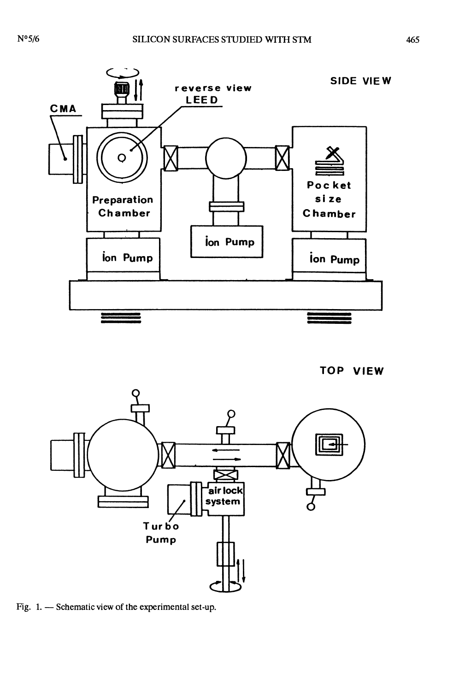

TOP VIEW



Fig. 1. - Schematic view of the experimental set-up.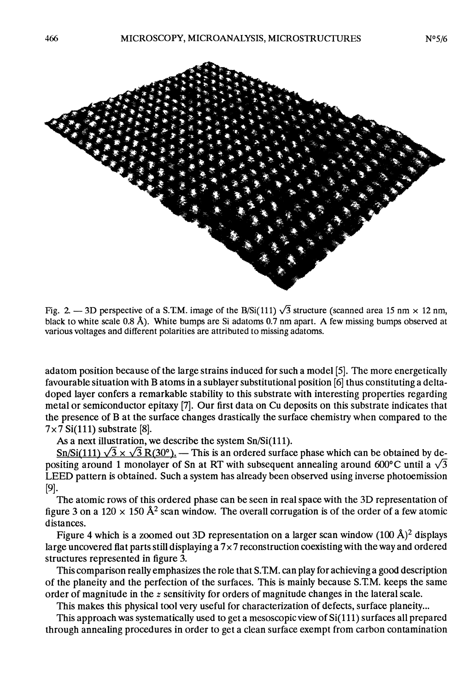

Fig. 2.  $-$  3D perspective of a S.T.M. image of the B/Si(111)  $\sqrt{3}$  structure (scanned area 15 nm  $\times$  12 nm, black to white scale 0.8 Â). White bumps are Si adatoms 0.7 nm apart. A few missing bumps observed at various voltages and different polarities are attributed to missing adatoms.

adatom position because of the large strains induced for such a model [5]. The more energetically favourable situation with B atoms in a sublayer substitutional position [6] thus constituting a deltadoped layer confers a remarkable stability to this substrate with interesting properties regarding metal or semiconductor epitaxy [7]. Our first data on Cu deposits on this substrate indicates that the presence of B at the surface changes drastically the surface chemistry when compared to the  $7 \times 7$  Si(111) substrate [8].

As a next illustration, we describe the system Sn/Si(111).

Sn/Si(111)  $\sqrt{3} \times \sqrt{3}$  R(30°). — This is an ordered surface phase which can be obtained by depositing around 1 monolayer of Sn at RT with subsequent annealing around 600°C until a  $\sqrt{3}$ LEED pattern is obtained. Such a system has already been observed using inverse photoemission [9].

The atomic rows of this ordered phase can be seen in real space with the 3D representation of figure 3 on a 120  $\times$  150 Å<sup>2</sup> scan window. The overall corrugation is of the order of a few atomic distances.

Figure 4 which is a zoomed out 3D representation on a larger scan window  $(100 \text{ Å})^2$  displays large uncovered flat parts still displaying a  $7 \times 7$  reconstruction coexisting with the way and ordered structures represented in figure 3.

This comparison really emphasizes the role that S.TM. can play for achieving a good description of the planeity and the perfection of the surfaces. This is mainly because S.TM. keeps the same order of magnitude in the  $z$  sensitivity for orders of magnitude changes in the lateral scale.

This makes this physical tool very useful for characterization of defects, surface planeity...

This approach was systematically used to get a mesoscopic view of Si(111) surfaces all prepared through annealing procedures in order to get a clean surface exempt from carbon contamination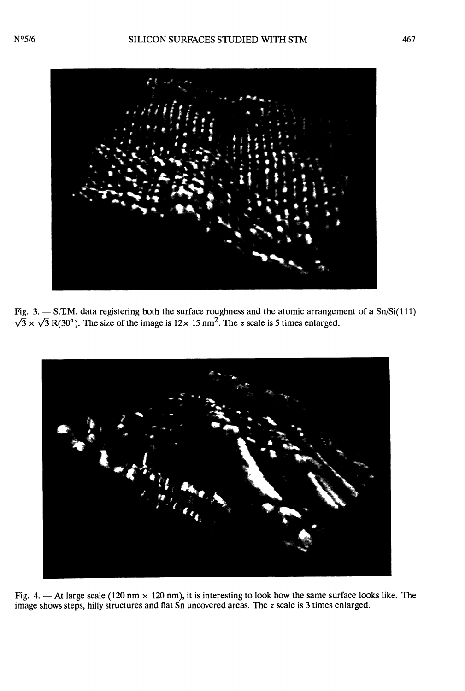

Fig. 3.  $-$  S.T.M. data registering both the surface roughness and the atomic arrangement of a Sn/Si(111)  $\sqrt{3} \times \sqrt{3} R(30^{\circ})$ . The size of the image is  $12 \times 15$  nm<sup>2</sup>. The z scale is 5 times enlarged.



Fig. 4.  $-$  At large scale (120 nm  $\times$  120 nm), it is interesting to look how the same surface looks like. The image shows steps, hilly structures and flat Sn uncovered areas. The  $z$  scale is 3 times enlarged.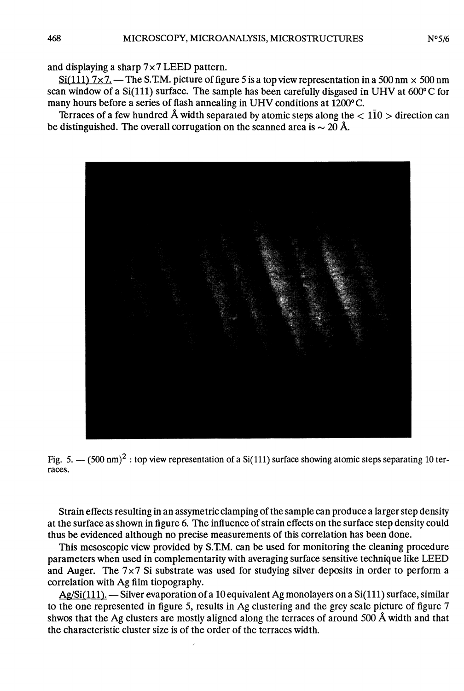and displaying a sharp  $7 \times 7$  LEED pattern.

 $Si(111)$  7x7. — The S.T.M. picture of figure 5 is a top view representation in a 500 nm  $\times$  500 nm scan window of a Si(111) surface. The sample has been carefully disgased in UHV at  $600^{\circ}$ C for many hours before a series of flash annealing in UHV conditions at 1200° C.

Terraces of a few hundred Å width separated by atomic steps along the  $< 1\overline{10} >$  direction can be distinguished. The overall corrugation on the scanned area is  $\sim 20$  Å.



Fig. 5.  $-$  (500 nm)<sup>2</sup>: top view representation of a Si(111) surface showing atomic steps separating 10 terraces.

Strain effects resulting in an assymetric clamping of the sample can produce a larger step density at the surface as shown in figure 6. The influence of strain effects on the surface step density could thus be evidenced although no precise measurements of this correlation has been done.

This mesoscppic view provided by S.T.M. can be used for monitoring the cleaning procedure parameters when used in complementarity with averaging surface sensitive technique like LEED and Auger. The  $7 \times 7$  Si substrate was used for studying silver deposits in order to perform a correlation with Ag film tiopography.

 $Ag/Si(111)$ . - Silver evaporation of a 10 equivalent Ag monolayers on a Si(111) surface, similar to the one represented in figure 5, results in Ag clustering and the grey scale picture of figure 7 shwos that the Ag clusters are mostly aligned along the terraces of around 500 Â width and that the characteristic cluster size is of the order of the terraces width.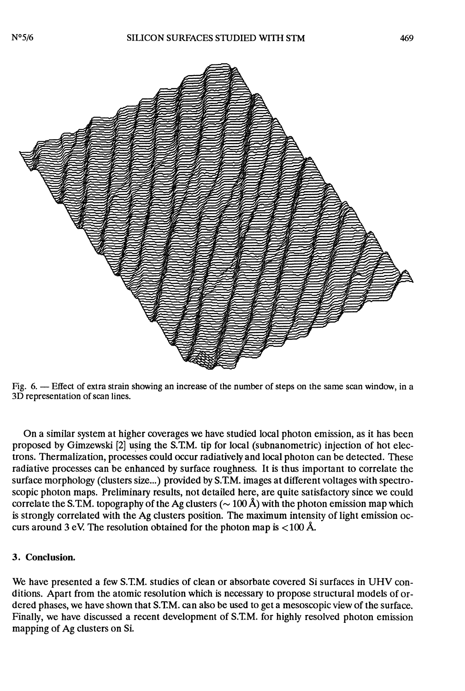

Fig. 6. - Effect of extra strain showing an increase of the number of steps on the same scan window, in a 3D representation of scan lines.

On a similar system at higher coverages we have studied local photon emission, as it has been proposed by Gimzewski [2] using the S.TM. tip for local (subnanometric) injection of hot electrons. Thermalization, processes could occur radiatively and local photon can be detected. These radiative processes can be enhanced by surface roughness. It is thus important to correlate the surface morphology (clusters size...) provided by S.TM. images at different voltages with spectroscopic photon maps. Preliminary results, not detailed here, are quite satisfactory since we could correlate the S.T.M. topography of the Ag clusters ( $\sim$  100 Å) with the photon emission map which is strongly correlated with the Ag clusters position. The maximum intensity of light emission occurs around 3 eV. The resolution obtained for the photon map is  $<$  100 Å.

## 3. Conclusion.

We have presented a few S.TM. studies of clean or absorbate covered Si surfaces in UHV conditions. Apart from the atomic resolution which is necessary to propose structural models of ordered phases, we have shown that S.TM. can also be used to get a mesoscopic view of the surface. Finally, we have discussed a recent development of S.TM. for highly resolved photon emission mapping of Ag clusters on Si.